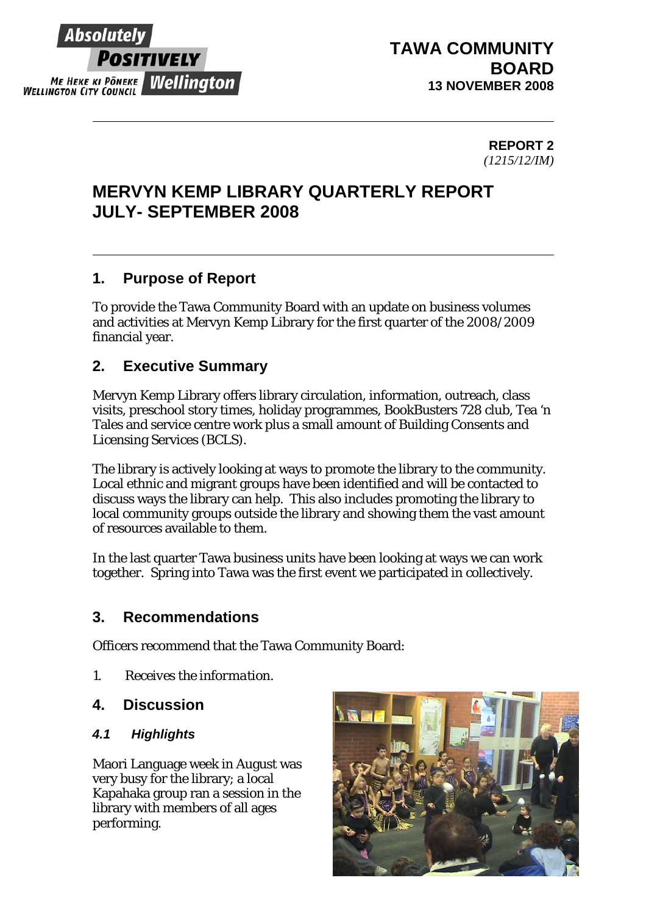

## **TAWA COMMUNITY BOARD 13 NOVEMBER 2008**

### **REPORT 2**  *(1215/12/IM)*

# **MERVYN KEMP LIBRARY QUARTERLY REPORT JULY- SEPTEMBER 2008**

## **1. Purpose of Report**

To provide the Tawa Community Board with an update on business volumes and activities at Mervyn Kemp Library for the first quarter of the 2008/2009 financial year.

## **2. Executive Summary**

Mervyn Kemp Library offers library circulation, information, outreach, class visits, preschool story times, holiday programmes, BookBusters 728 club, Tea 'n Tales and service centre work plus a small amount of Building Consents and Licensing Services (BCLS).

The library is actively looking at ways to promote the library to the community. Local ethnic and migrant groups have been identified and will be contacted to discuss ways the library can help. This also includes promoting the library to local community groups outside the library and showing them the vast amount of resources available to them.

In the last quarter Tawa business units have been looking at ways we can work together. Spring into Tawa was the first event we participated in collectively.

## **3. Recommendations**

Officers recommend that the Tawa Community Board:

- *1. Receives the information.*
- **4. Discussion**

## *4.1 Highlights*

Maori Language week in August was very busy for the library; a local Kapahaka group ran a session in the library with members of all ages performing.

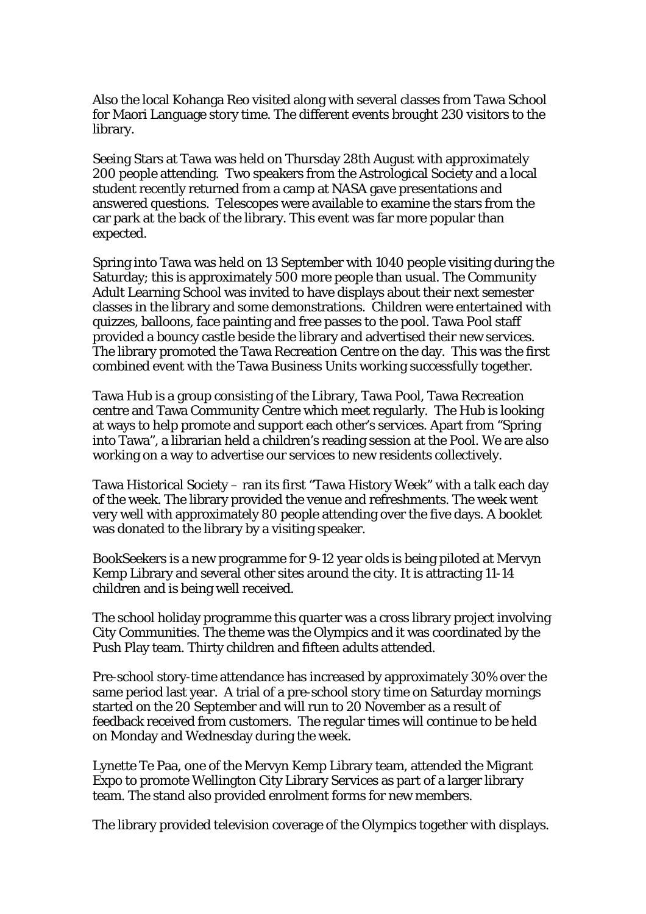Also the local Kohanga Reo visited along with several classes from Tawa School for Maori Language story time. The different events brought 230 visitors to the library.

Seeing Stars at Tawa was held on Thursday 28th August with approximately 200 people attending. Two speakers from the Astrological Society and a local student recently returned from a camp at NASA gave presentations and answered questions. Telescopes were available to examine the stars from the car park at the back of the library. This event was far more popular than expected.

Spring into Tawa was held on 13 September with 1040 people visiting during the Saturday; this is approximately 500 more people than usual. The Community Adult Learning School was invited to have displays about their next semester classes in the library and some demonstrations. Children were entertained with quizzes, balloons, face painting and free passes to the pool. Tawa Pool staff provided a bouncy castle beside the library and advertised their new services. The library promoted the Tawa Recreation Centre on the day. This was the first combined event with the Tawa Business Units working successfully together.

Tawa Hub is a group consisting of the Library, Tawa Pool, Tawa Recreation centre and Tawa Community Centre which meet regularly. The Hub is looking at ways to help promote and support each other's services. Apart from "Spring into Tawa", a librarian held a children's reading session at the Pool. We are also working on a way to advertise our services to new residents collectively.

Tawa Historical Society – ran its first "Tawa History Week" with a talk each day of the week. The library provided the venue and refreshments. The week went very well with approximately 80 people attending over the five days. A booklet was donated to the library by a visiting speaker.

BookSeekers is a new programme for 9-12 year olds is being piloted at Mervyn Kemp Library and several other sites around the city. It is attracting 11-14 children and is being well received.

The school holiday programme this quarter was a cross library project involving City Communities. The theme was the Olympics and it was coordinated by the Push Play team. Thirty children and fifteen adults attended.

Pre-school story-time attendance has increased by approximately 30% over the same period last year. A trial of a pre-school story time on Saturday mornings started on the 20 September and will run to 20 November as a result of feedback received from customers. The regular times will continue to be held on Monday and Wednesday during the week.

Lynette Te Paa, one of the Mervyn Kemp Library team, attended the Migrant Expo to promote Wellington City Library Services as part of a larger library team. The stand also provided enrolment forms for new members.

The library provided television coverage of the Olympics together with displays.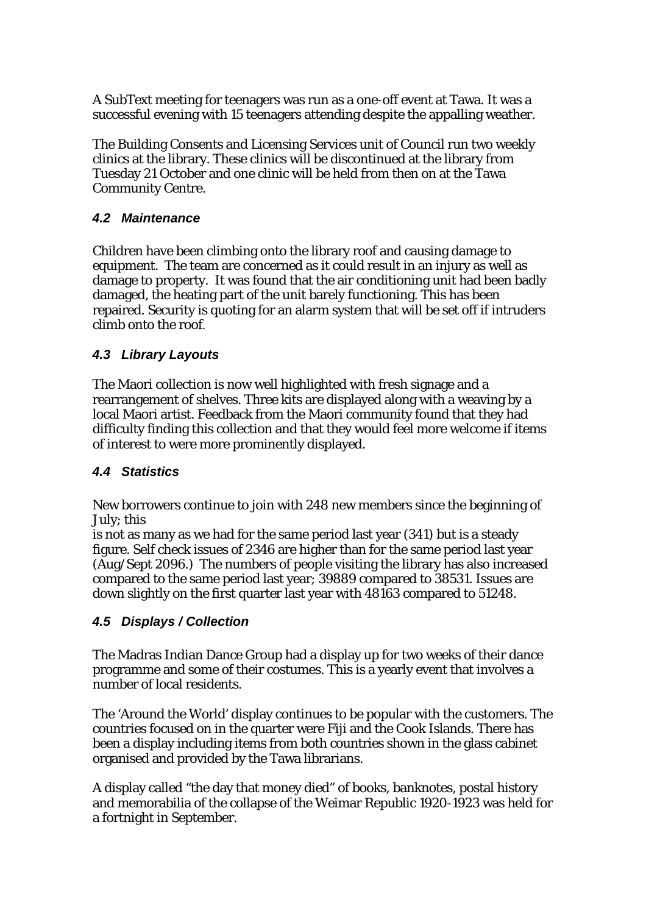A SubText meeting for teenagers was run as a one-off event at Tawa. It was a successful evening with 15 teenagers attending despite the appalling weather.

The Building Consents and Licensing Services unit of Council run two weekly clinics at the library. These clinics will be discontinued at the library from Tuesday 21 October and one clinic will be held from then on at the Tawa Community Centre.

### *4.2 Maintenance*

Children have been climbing onto the library roof and causing damage to equipment. The team are concerned as it could result in an injury as well as damage to property. It was found that the air conditioning unit had been badly damaged, the heating part of the unit barely functioning. This has been repaired. Security is quoting for an alarm system that will be set off if intruders climb onto the roof.

#### *4.3 Library Layouts*

The Maori collection is now well highlighted with fresh signage and a rearrangement of shelves. Three kits are displayed along with a weaving by a local Maori artist. Feedback from the Maori community found that they had difficulty finding this collection and that they would feel more welcome if items of interest to were more prominently displayed.

#### *4.4 Statistics*

New borrowers continue to join with 248 new members since the beginning of July; this

is not as many as we had for the same period last year (341) but is a steady figure. Self check issues of 2346 are higher than for the same period last year (Aug/Sept 2096.) The numbers of people visiting the library has also increased compared to the same period last year; 39889 compared to 38531. Issues are down slightly on the first quarter last year with 48163 compared to 51248.

## *4.5 Displays / Collection*

The Madras Indian Dance Group had a display up for two weeks of their dance programme and some of their costumes. This is a yearly event that involves a number of local residents.

The 'Around the World' display continues to be popular with the customers. The countries focused on in the quarter were Fiji and the Cook Islands. There has been a display including items from both countries shown in the glass cabinet organised and provided by the Tawa librarians.

A display called "the day that money died" of books, banknotes, postal history and memorabilia of the collapse of the Weimar Republic 1920-1923 was held for a fortnight in September.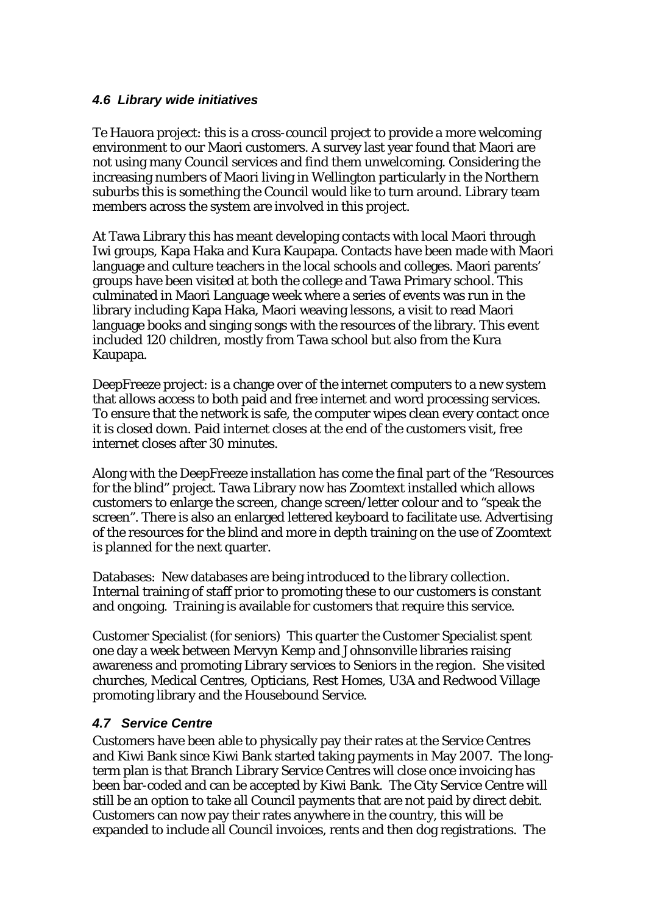#### *4.6 Library wide initiatives*

Te Hauora project: this is a cross-council project to provide a more welcoming environment to our Maori customers. A survey last year found that Maori are not using many Council services and find them unwelcoming. Considering the increasing numbers of Maori living in Wellington particularly in the Northern suburbs this is something the Council would like to turn around. Library team members across the system are involved in this project.

At Tawa Library this has meant developing contacts with local Maori through Iwi groups, Kapa Haka and Kura Kaupapa. Contacts have been made with Maori language and culture teachers in the local schools and colleges. Maori parents' groups have been visited at both the college and Tawa Primary school. This culminated in Maori Language week where a series of events was run in the library including Kapa Haka, Maori weaving lessons, a visit to read Maori language books and singing songs with the resources of the library. This event included 120 children, mostly from Tawa school but also from the Kura Kaupapa.

DeepFreeze project: is a change over of the internet computers to a new system that allows access to both paid and free internet and word processing services. To ensure that the network is safe, the computer wipes clean every contact once it is closed down. Paid internet closes at the end of the customers visit, free internet closes after 30 minutes.

Along with the DeepFreeze installation has come the final part of the "Resources for the blind" project. Tawa Library now has Zoomtext installed which allows customers to enlarge the screen, change screen/letter colour and to "speak the screen". There is also an enlarged lettered keyboard to facilitate use. Advertising of the resources for the blind and more in depth training on the use of Zoomtext is planned for the next quarter.

Databases: New databases are being introduced to the library collection. Internal training of staff prior to promoting these to our customers is constant and ongoing. Training is available for customers that require this service.

Customer Specialist (for seniors) This quarter the Customer Specialist spent one day a week between Mervyn Kemp and Johnsonville libraries raising awareness and promoting Library services to Seniors in the region. She visited churches, Medical Centres, Opticians, Rest Homes, U3A and Redwood Village promoting library and the Housebound Service.

## *4.7 Service Centre*

Customers have been able to physically pay their rates at the Service Centres and Kiwi Bank since Kiwi Bank started taking payments in May 2007. The longterm plan is that Branch Library Service Centres will close once invoicing has been bar-coded and can be accepted by Kiwi Bank. The City Service Centre will still be an option to take all Council payments that are not paid by direct debit. Customers can now pay their rates anywhere in the country, this will be expanded to include all Council invoices, rents and then dog registrations. The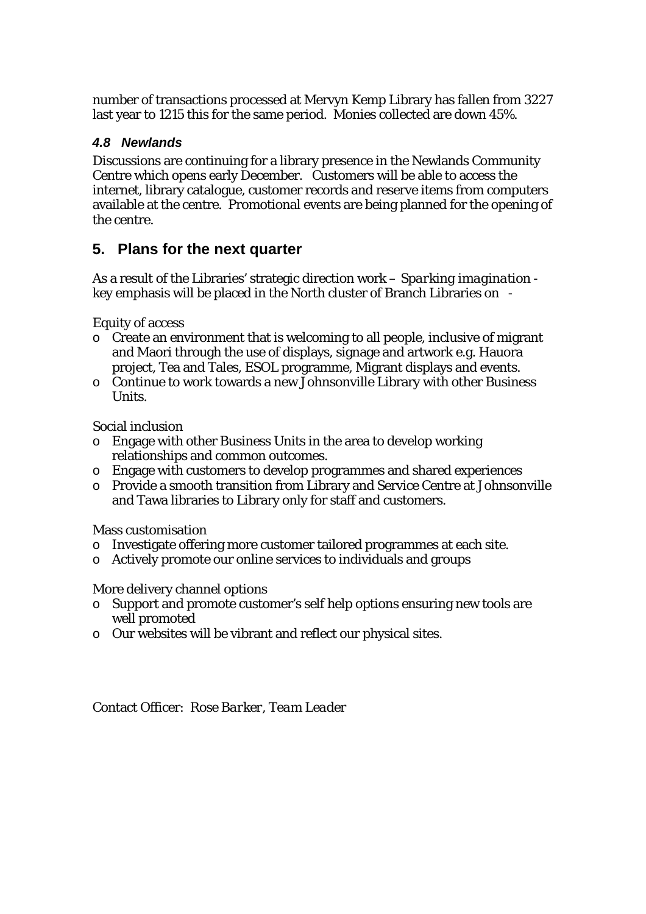number of transactions processed at Mervyn Kemp Library has fallen from 3227 last year to 1215 this for the same period. Monies collected are down 45%.

## *4.8 Newlands*

Discussions are continuing for a library presence in the Newlands Community Centre which opens early December. Customers will be able to access the internet, library catalogue, customer records and reserve items from computers available at the centre. Promotional events are being planned for the opening of the centre.

## **5. Plans for the next quarter**

As a result of the Libraries' strategic direction work – *Sparking imagination* key emphasis will be placed in the North cluster of Branch Libraries on -

Equity of access

- o Create an environment that is welcoming to all people, inclusive of migrant and Maori through the use of displays, signage and artwork e.g. Hauora project, Tea and Tales, ESOL programme, Migrant displays and events.
- o Continue to work towards a new Johnsonville Library with other Business Units.

Social inclusion

- o Engage with other Business Units in the area to develop working relationships and common outcomes.
- o Engage with customers to develop programmes and shared experiences
- o Provide a smooth transition from Library and Service Centre at Johnsonville and Tawa libraries to Library only for staff and customers.

Mass customisation

- o Investigate offering more customer tailored programmes at each site.
- o Actively promote our online services to individuals and groups

## More delivery channel options

- o Support and promote customer's self help options ensuring new tools are well promoted
- o Our websites will be vibrant and reflect our physical sites.

Contact Officer: *Rose Barker, Team Leader*